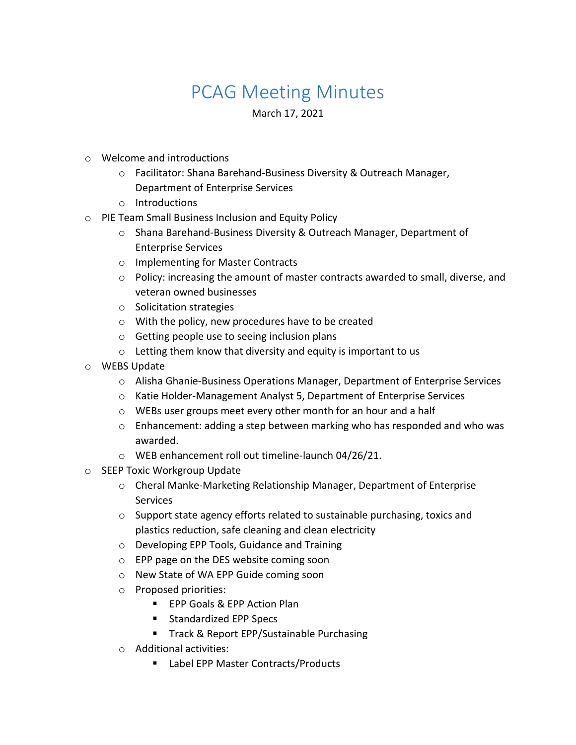## PCAG Meeting Minutes

March 17, 2021

- o Welcome and introductions
	- o Facilitator: Shana Barehand-Business Diversity & Outreach Manager, Department of Enterprise Services
	- o Introductions
- o PIE Team Small Business Inclusion and Equity Policy
	- o Shana Barehand-Business Diversity & Outreach Manager, Department of Enterprise Services
	- o Implementing for Master Contracts
	- o Policy: increasing the amount of master contracts awarded to small, diverse, and veteran owned businesses
	- o Solicitation strategies
	- o With the policy, new procedures have to be created
	- o Getting people use to seeing inclusion plans
	- o Letting them know that diversity and equity is important to us
- o WEBS Update
	- o Alisha Ghanie-Business Operations Manager, Department of Enterprise Services
	- o Katie Holder-Management Analyst 5, Department of Enterprise Services
	- o WEBs user groups meet every other month for an hour and a half
	- o Enhancement: adding a step between marking who has responded and who was awarded.
	- o WEB enhancement roll out timeline-launch 04/26/21.
- o SEEP Toxic Workgroup Update
	- o Cheral Manke-Marketing Relationship Manager, Department of Enterprise Services
	- o Support state agency efforts related to sustainable purchasing, toxics and plastics reduction, safe cleaning and clean electricity
	- o Developing EPP Tools, Guidance and Training
	- o EPP page on the DES website coming soon
	- o New State of WA EPP Guide coming soon
	- o Proposed priorities:
		- **EPP Goals & EPP Action Plan**
		- **Standardized EPP Specs**
		- **Track & Report EPP/Sustainable Purchasing**
	- o Additional activities:
		- Label EPP Master Contracts/Products